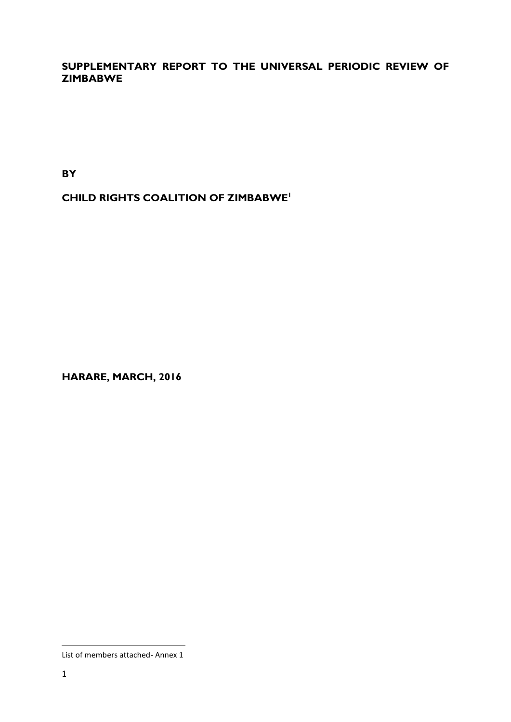# **SUPPLEMENTARY REPORT TO THE UNIVERSAL PERIODIC REVIEW OF ZIMBABWE**

**BY**

**CHILD RIGHTS COALITION OF ZIMBABWE<sup>1</sup>**

**HARARE, MARCH, 2016**

List of members attached- Annex 1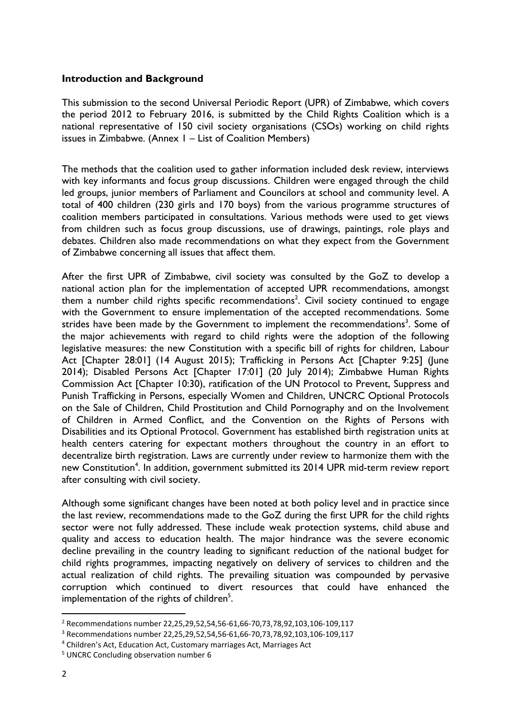#### **Introduction and Background**

This submission to the second Universal Periodic Report (UPR) of Zimbabwe, which covers the period 2012 to February 2016, is submitted by the Child Rights Coalition which is a national representative of 150 civil society organisations (CSOs) working on child rights issues in Zimbabwe. (Annex 1 – List of Coalition Members)

The methods that the coalition used to gather information included desk review, interviews with key informants and focus group discussions. Children were engaged through the child led groups, junior members of Parliament and Councilors at school and community level. A total of 400 children (230 girls and 170 boys) from the various programme structures of coalition members participated in consultations. Various methods were used to get views from children such as focus group discussions, use of drawings, paintings, role plays and debates. Children also made recommendations on what they expect from the Government of Zimbabwe concerning all issues that affect them.

After the first UPR of Zimbabwe, civil society was consulted by the GoZ to develop a national action plan for the implementation of accepted UPR recommendations, amongst them a number child rights specific recommendations<sup>2</sup>. Civil society continued to engage with the Government to ensure implementation of the accepted recommendations. Some strides have been made by the Government to implement the recommendations<sup>3</sup>. Some of the major achievements with regard to child rights were the adoption of the following legislative measures: the new Constitution with a specific bill of rights for children, Labour Act [Chapter 28:01] (14 August 2015); Trafficking in Persons Act [Chapter 9:25] (June 2014); Disabled Persons Act [Chapter 17:01] (20 July 2014); Zimbabwe Human Rights Commission Act [Chapter 10:30), ratification of the UN Protocol to Prevent, Suppress and Punish Trafficking in Persons, especially Women and Children, UNCRC Optional Protocols on the Sale of Children, Child Prostitution and Child Pornography and on the Involvement of Children in Armed Conflict, and the Convention on the Rights of Persons with Disabilities and its Optional Protocol. Government has established birth registration units at health centers catering for expectant mothers throughout the country in an effort to decentralize birth registration. Laws are currently under review to harmonize them with the new Constitution<sup>4</sup>. In addition, government submitted its 2014 UPR mid-term review report after consulting with civil society.

Although some significant changes have been noted at both policy level and in practice since the last review, recommendations made to the GoZ during the first UPR for the child rights sector were not fully addressed. These include weak protection systems, child abuse and quality and access to education health. The major hindrance was the severe economic decline prevailing in the country leading to significant reduction of the national budget for child rights programmes, impacting negatively on delivery of services to children and the actual realization of child rights. The prevailing situation was compounded by pervasive corruption which continued to divert resources that could have enhanced the implementation of the rights of children $5$ .

<sup>2</sup> Recommendations number 22,25,29,52,54,56-61,66-70,73,78,92,103,106-109,117

<sup>3</sup> Recommendations number 22,25,29,52,54,56-61,66-70,73,78,92,103,106-109,117

<sup>4</sup> Children's Act, Education Act, Customary marriages Act, Marriages Act

<sup>5</sup> UNCRC Concluding observation number 6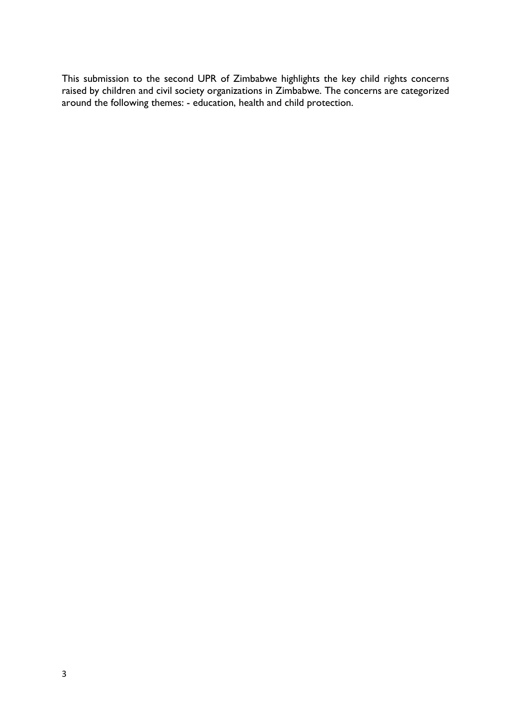This submission to the second UPR of Zimbabwe highlights the key child rights concerns raised by children and civil society organizations in Zimbabwe. The concerns are categorized around the following themes: - education, health and child protection.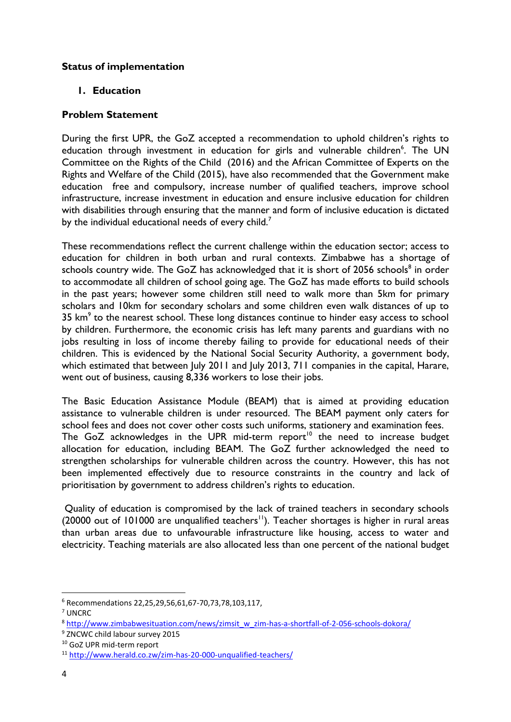## **Status of implementation**

## **1. Education**

### **Problem Statement**

During the first UPR, the GoZ accepted a recommendation to uphold children's rights to education through investment in education for girls and vulnerable children<sup>6</sup>. The UN Committee on the Rights of the Child (2016) and the African Committee of Experts on the Rights and Welfare of the Child (2015), have also recommended that the Government make education free and compulsory, increase number of qualified teachers, improve school infrastructure, increase investment in education and ensure inclusive education for children with disabilities through ensuring that the manner and form of inclusive education is dictated by the individual educational needs of every child.<sup>7</sup>

These recommendations reflect the current challenge within the education sector; access to education for children in both urban and rural contexts. Zimbabwe has a shortage of schools country wide. The GoZ has acknowledged that it is short of 2056 schools<sup>8</sup> in order to accommodate all children of school going age. The GoZ has made efforts to build schools in the past years; however some children still need to walk more than 5km for primary scholars and 10km for secondary scholars and some children even walk distances of up to 35  $km<sup>9</sup>$  to the nearest school. These long distances continue to hinder easy access to school by children. Furthermore, the economic crisis has left many parents and guardians with no jobs resulting in loss of income thereby failing to provide for educational needs of their children. This is evidenced by the National Social Security Authority, a government body, which estimated that between July 2011 and July 2013, 711 companies in the capital, Harare, went out of business, causing 8,336 workers to lose their jobs.

The Basic Education Assistance Module (BEAM) that is aimed at providing education assistance to vulnerable children is under resourced. The BEAM payment only caters for school fees and does not cover other costs such uniforms, stationery and examination fees. The GoZ acknowledges in the UPR mid-term report<sup>10</sup> the need to increase budget allocation for education, including BEAM. The GoZ further acknowledged the need to strengthen scholarships for vulnerable children across the country. However, this has not been implemented effectively due to resource constraints in the country and lack of prioritisation by government to address children's rights to education.

Quality of education is compromised by the lack of trained teachers in secondary schools (20000 out of 101000 are unqualified teachers<sup>11</sup>). Teacher shortages is higher in rural areas than urban areas due to unfavourable infrastructure like housing, access to water and electricity. Teaching materials are also allocated less than one percent of the national budget

<sup>6</sup> Recommendations 22,25,29,56,61,67-70,73,78,103,117,

<sup>7</sup> UNCRC

<sup>8</sup> [http://www.zimbabwesituation.com/news/zimsit\\_w\\_zim-has-a-shortfall-of-2-056-schools-dokora/](http://www.zimbabwesituation.com/news/zimsit_w_zim-has-a-shortfall-of-2-056-schools-dokora/)

<sup>9</sup> ZNCWC child labour survey 2015

<sup>10</sup> GoZ UPR mid-term report

<sup>11</sup> <http://www.herald.co.zw/zim-has-20-000-unqualified-teachers/>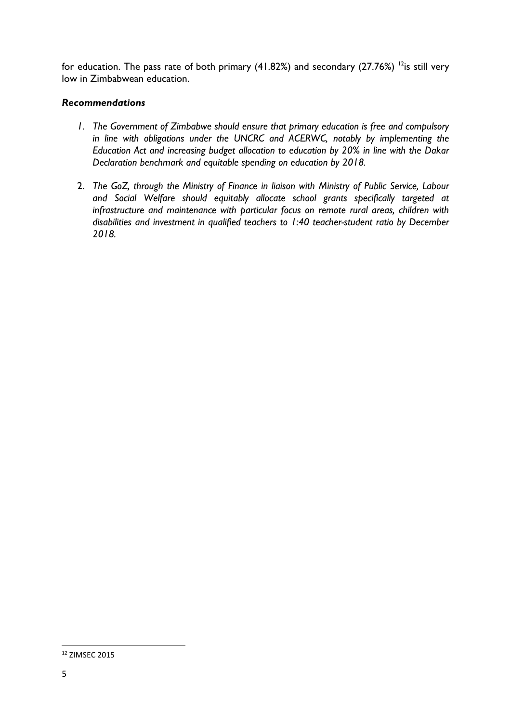for education. The pass rate of both primary (41.82%) and secondary (27.76%) <sup>12</sup>is still very low in Zimbabwean education.

## *Recommendations*

- *1. The Government of Zimbabwe should ensure that primary education is free and compulsory in line with obligations under the UNCRC and ACERWC, notably by implementing the Education Act and increasing budget allocation to education by 20% in line with the Dakar Declaration benchmark and equitable spending on education by 2018.*
- 2. *The GoZ, through the Ministry of Finance in liaison with Ministry of Public Service, Labour and Social Welfare should equitably allocate school grants specifically targeted at infrastructure and maintenance with particular focus on remote rural areas, children with disabilities and investment in qualified teachers to 1:40 teacher-student ratio by December 2018.*

<sup>12</sup> ZIMSEC 2015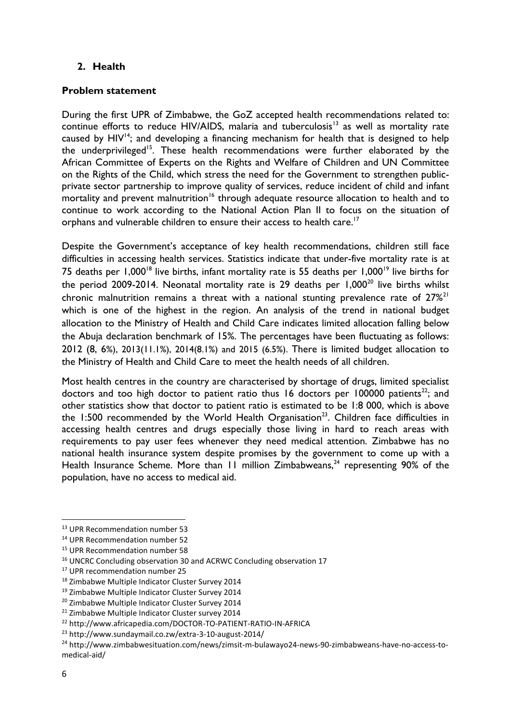# **2. Health**

## **Problem statement**

During the first UPR of Zimbabwe, the GoZ accepted health recommendations related to: continue efforts to reduce HIV/AIDS, malaria and tuberculosis<sup>13</sup> as well as mortality rate caused by  $HIV^{14}$ ; and developing a financing mechanism for health that is designed to help the underprivileged<sup>15</sup>. These health recommendations were further elaborated by the African Committee of Experts on the Rights and Welfare of Children and UN Committee on the Rights of the Child, which stress the need for the Government to strengthen publicprivate sector partnership to improve quality of services, reduce incident of child and infant mortality and prevent malnutrition<sup>16</sup> through adequate resource allocation to health and to continue to work according to the National Action Plan II to focus on the situation of orphans and vulnerable children to ensure their access to health care.<sup>17</sup>

Despite the Government's acceptance of key health recommendations, children still face difficulties in accessing health services. Statistics indicate that under-five mortality rate is at 75 deaths per 1,000<sup>18</sup> live births, infant mortality rate is 55 deaths per 1,000<sup>19</sup> live births for the period 2009-2014. Neonatal mortality rate is 29 deaths per  $1,000^{20}$  live births whilst chronic malnutrition remains a threat with a national stunting prevalence rate of  $27\%$ <sup>21</sup> which is one of the highest in the region. An analysis of the trend in national budget allocation to the Ministry of Health and Child Care indicates limited allocation falling below the Abuja declaration benchmark of 15%. The percentages have been fluctuating as follows: 2012 (8, 6%), 2013(11.1%), 2014(8.1%) and 2015 (6.5%). There is limited budget allocation to the Ministry of Health and Child Care to meet the health needs of all children.

Most health centres in the country are characterised by shortage of drugs, limited specialist doctors and too high doctor to patient ratio thus 16 doctors per 100000 patients<sup>22</sup>; and other statistics show that doctor to patient ratio is estimated to be 1:8 000, which is above the 1:500 recommended by the World Health Organisation<sup>23</sup>. Children face difficulties in accessing health centres and drugs especially those living in hard to reach areas with requirements to pay user fees whenever they need medical attention. Zimbabwe has no national health insurance system despite promises by the government to come up with a Health Insurance Scheme. More than 11 million Zimbabweans,<sup>24</sup> representing 90% of the population, have no access to medical aid.

1

<sup>13</sup> UPR Recommendation number 53

<sup>14</sup> UPR Recommendation number 52

<sup>15</sup> UPR Recommendation number 58

<sup>&</sup>lt;sup>16</sup> UNCRC Concluding observation 30 and ACRWC Concluding observation 17

<sup>17</sup> UPR recommendation number 25

<sup>18</sup> Zimbabwe Multiple Indicator Cluster Survey 2014

<sup>&</sup>lt;sup>19</sup> Zimbabwe Multiple Indicator Cluster Survey 2014

<sup>&</sup>lt;sup>20</sup> Zimbabwe Multiple Indicator Cluster Survey 2014

<sup>&</sup>lt;sup>21</sup> Zimbabwe Multiple Indicator Cluster survey 2014

<sup>22</sup> http://www.africapedia.com/DOCTOR-TO-PATIENT-RATIO-IN-AFRICA

<sup>23</sup> http://www.sundaymail.co.zw/extra-3-10-august-2014/

<sup>24</sup> http://www.zimbabwesituation.com/news/zimsit-m-bulawayo24-news-90-zimbabweans-have-no-access-tomedical-aid/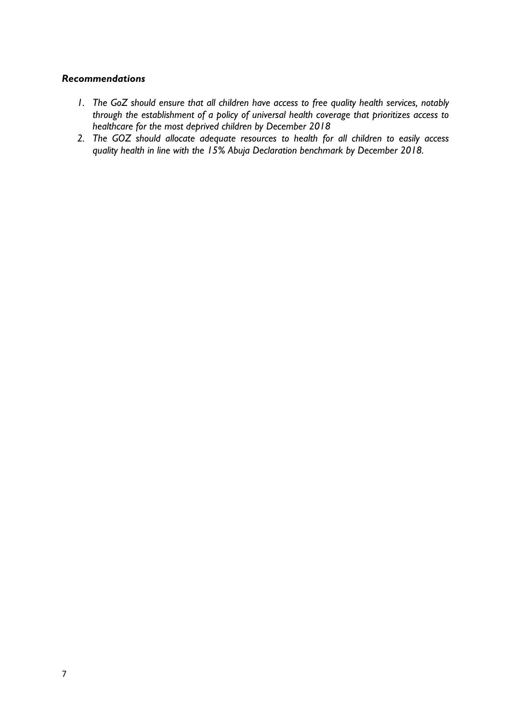#### *Recommendations*

- *1. The GoZ should ensure that all children have access to free quality health services, notably through the establishment of a policy of universal health coverage that prioritizes access to healthcare for the most deprived children by December 2018*
- *2. The GOZ should allocate adequate resources to health for all children to easily access quality health in line with the 15% Abuja Declaration benchmark by December 2018.*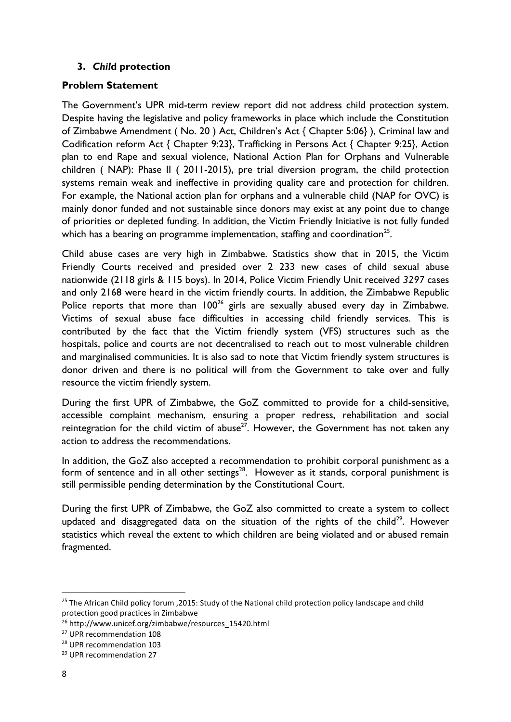## **3.** *Chil***d protection**

## **Problem Statement**

The Government's UPR mid-term review report did not address child protection system. Despite having the legislative and policy frameworks in place which include the Constitution of Zimbabwe Amendment ( No. 20 ) Act, Children's Act { Chapter 5:06} ), Criminal law and Codification reform Act { Chapter 9:23}, Trafficking in Persons Act { Chapter 9:25}, Action plan to end Rape and sexual violence, National Action Plan for Orphans and Vulnerable children ( NAP): Phase II ( 2011-2015), pre trial diversion program, the child protection systems remain weak and ineffective in providing quality care and protection for children. For example, the National action plan for orphans and a vulnerable child (NAP for OVC) is mainly donor funded and not sustainable since donors may exist at any point due to change of priorities or depleted funding. In addition, the Victim Friendly Initiative is not fully funded which has a bearing on programme implementation, staffing and coordination<sup>25</sup>.

Child abuse cases are very high in Zimbabwe. Statistics show that in 2015, the Victim Friendly Courts received and presided over 2 233 new cases of child sexual abuse nationwide (2118 girls & 115 boys). In 2014, Police Victim Friendly Unit received *3297* cases and only 2168 were heard in the victim friendly courts. In addition, *t*he Zimbabwe Republic Police reports that more than  $100^{26}$  girls are sexually abused every day in Zimbabwe. Victims of sexual abuse face difficulties in accessing child friendly services. This is contributed by the fact that the Victim friendly system (VFS) structures such as the hospitals, police and courts are not decentralised to reach out to most vulnerable children and marginalised communities. It is also sad to note that Victim friendly system structures is donor driven and there is no political will from the Government to take over and fully resource the victim friendly system.

During the first UPR of Zimbabwe, the GoZ committed to provide for a child-sensitive, accessible complaint mechanism, ensuring a proper redress, rehabilitation and social reintegration for the child victim of abuse<sup>27</sup>. However, the Government has not taken any action to address the recommendations.

In addition, the GoZ also accepted a recommendation to prohibit corporal punishment as a form of sentence and in all other settings<sup>28</sup>. However as it stands, corporal punishment is still permissible pending determination by the Constitutional Court.

During the first UPR of Zimbabwe, the GoZ also committed to create a system to collect updated and disaggregated data on the situation of the rights of the child<sup>29</sup>. However statistics which reveal the extent to which children are being violated and or abused remain fragmented.

<sup>&</sup>lt;sup>25</sup> The African Child policy forum , 2015: Study of the National child protection policy landscape and child protection good practices in Zimbabwe

<sup>26</sup> http://www.unicef.org/zimbabwe/resources\_15420.html

<sup>27</sup> UPR recommendation 108

<sup>28</sup> UPR recommendation 103

<sup>29</sup> UPR recommendation 27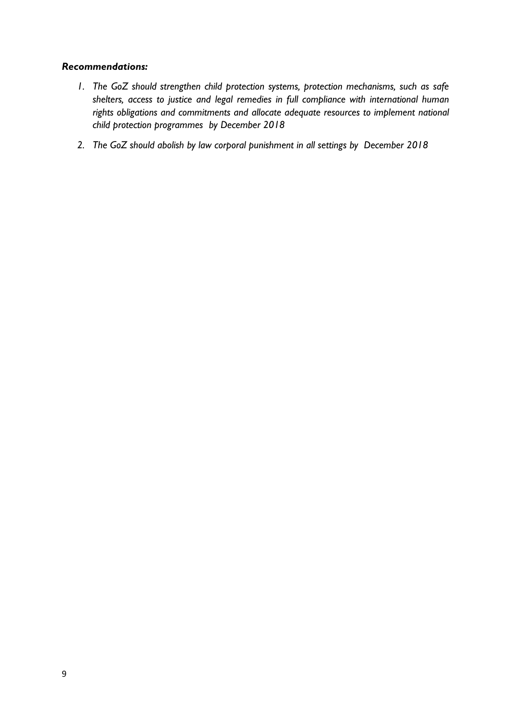## *Recommendations:*

- *1. The GoZ should strengthen child protection systems, protection mechanisms, such as safe shelters, access to justice and legal remedies in full compliance with international human rights obligations and commitments and allocate adequate resources to implement national child protection programmes by December 2018*
- *2. The GoZ should abolish by law corporal punishment in all settings by December 2018*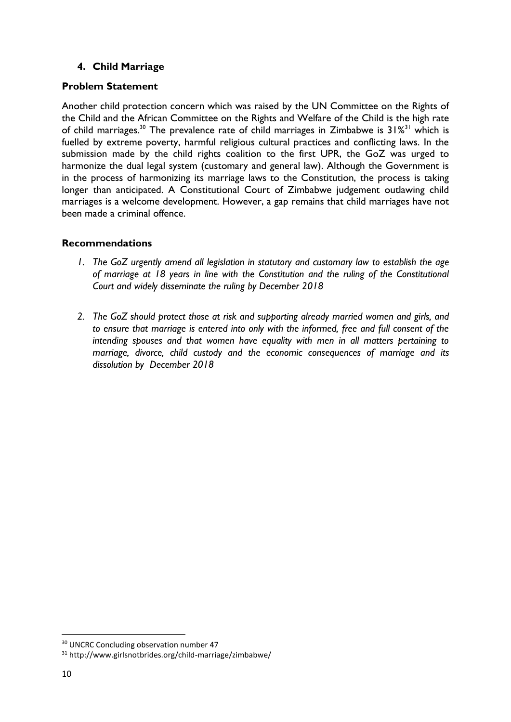# **4. Child Marriage**

## **Problem Statement**

Another child protection concern which was raised by the UN Committee on the Rights of the Child and the African Committee on the Rights and Welfare of the Child is the high rate of child marriages.<sup>30</sup> The prevalence rate of child marriages in Zimbabwe is  $31\%$ <sup>31</sup> which is fuelled by extreme poverty, harmful religious cultural practices and conflicting laws. In the submission made by the child rights coalition to the first UPR, the GoZ was urged to harmonize the dual legal system (customary and general law). Although the Government is in the process of harmonizing its marriage laws to the Constitution, the process is taking longer than anticipated. A Constitutional Court of Zimbabwe judgement outlawing child marriages is a welcome development. However, a gap remains that child marriages have not been made a criminal offence.

## **Recommendations**

- *1. The GoZ urgently amend all legislation in statutory and customary law to establish the age of marriage at 18 years in line with the Constitution and the ruling of the Constitutional Court and widely disseminate the ruling by December 2018*
- *2. The GoZ should protect those at risk and supporting already married women and girls, and to ensure that marriage is entered into only with the informed, free and full consent of the intending spouses and that women have equality with men in all matters pertaining to marriage, divorce, child custody and the economic consequences of marriage and its dissolution by December 2018*

<sup>&</sup>lt;sup>30</sup> UNCRC Concluding observation number 47

<sup>31</sup> http://www.girlsnotbrides.org/child-marriage/zimbabwe/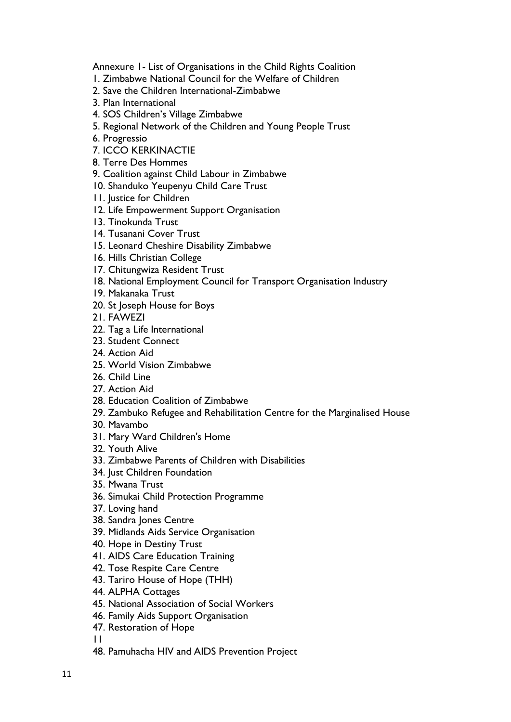Annexure 1- List of Organisations in the Child Rights Coalition

- 1. Zimbabwe National Council for the Welfare of Children
- 2. Save the Children International-Zimbabwe
- 3. Plan International
- 4. SOS Children's Village Zimbabwe
- 5. Regional Network of the Children and Young People Trust
- 6. Progressio
- 7. ICCO KERKINACTIE
- 8. Terre Des Hommes
- 9. Coalition against Child Labour in Zimbabwe
- 10. Shanduko Yeupenyu Child Care Trust
- 11. Justice for Children
- 12. Life Empowerment Support Organisation
- 13. Tinokunda Trust
- 14. Tusanani Cover Trust
- 15. Leonard Cheshire Disability Zimbabwe
- 16. Hills Christian College
- 17. Chitungwiza Resident Trust
- 18. National Employment Council for Transport Organisation Industry
- 19. Makanaka Trust
- 20. St Joseph House for Boys
- 21. FAWEZI
- 22. Tag a Life International
- 23. Student Connect
- 24. Action Aid
- 25. World Vision Zimbabwe
- 26. Child Line
- 27. Action Aid
- 28. Education Coalition of Zimbabwe
- 29. Zambuko Refugee and Rehabilitation Centre for the Marginalised House
- 30. Mavambo
- 31. Mary Ward Children's Home
- 32. Youth Alive
- 33. Zimbabwe Parents of Children with Disabilities
- 34. Just Children Foundation
- 35. Mwana Trust
- 36. Simukai Child Protection Programme
- 37. Loving hand
- 38. Sandra Jones Centre
- 39. Midlands Aids Service Organisation
- 40. Hope in Destiny Trust
- 41. AIDS Care Education Training
- 42. Tose Respite Care Centre
- 43. Tariro House of Hope (THH)
- 44. ALPHA Cottages
- 45. National Association of Social Workers
- 46. Family Aids Support Organisation
- 47. Restoration of Hope

11

48. Pamuhacha HIV and AIDS Prevention Project